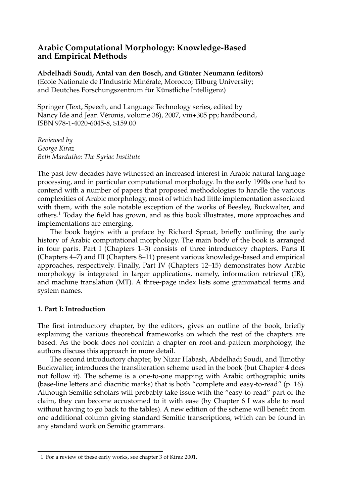## **Arabic Computational Morphology: Knowledge-Based and Empirical Methods**

Abdelhadi Soudi, Antal van den Bosch, and Günter Neumann (editors) (Ecole Nationale de l'Industrie Minérale, Morocco; Tilburg University; and Deutches Forschungszentrum für Künstliche Intelligenz)

Springer (Text, Speech, and Language Technology series, edited by Nancy Ide and Jean Véronis, volume 38), 2007, viii+305 pp; hardbound, ISBN 978-1-4020-6045-8, \$159.00

*Reviewed by George Kiraz Beth Mardutho: The Syriac Institute*

The past few decades have witnessed an increased interest in Arabic natural language processing, and in particular computational morphology. In the early 1990s one had to contend with a number of papers that proposed methodologies to handle the various complexities of Arabic morphology, most of which had little implementation associated with them, with the sole notable exception of the works of Beesley, Buckwalter, and others.<sup>1</sup> Today the field has grown, and as this book illustrates, more approaches and implementations are emerging.

The book begins with a preface by Richard Sproat, briefly outlining the early history of Arabic computational morphology. The main body of the book is arranged in four parts. Part I (Chapters 1–3) consists of three introductory chapters. Parts II (Chapters 4–7) and III (Chapters 8–11) present various knowledge-based and empirical approaches, respectively. Finally, Part IV (Chapters 12–15) demonstrates how Arabic morphology is integrated in larger applications, namely, information retrieval (IR), and machine translation (MT). A three-page index lists some grammatical terms and system names.

#### **1. Part I: Introduction**

The first introductory chapter, by the editors, gives an outline of the book, briefly explaining the various theoretical frameworks on which the rest of the chapters are based. As the book does not contain a chapter on root-and-pattern morphology, the authors discuss this approach in more detail.

The second introductory chapter, by Nizar Habash, Abdelhadi Soudi, and Timothy Buckwalter, introduces the transliteration scheme used in the book (but Chapter 4 does not follow it). The scheme is a one-to-one mapping with Arabic orthographic units (base-line letters and diacritic marks) that is both "complete and easy-to-read" (p. 16). Although Semitic scholars will probably take issue with the "easy-to-read" part of the claim, they can become accustomed to it with ease (by Chapter 6 I was able to read without having to go back to the tables). A new edition of the scheme will benefit from one additional column giving standard Semitic transcriptions, which can be found in any standard work on Semitic grammars.

<sup>1</sup> For a review of these early works, see chapter 3 of Kiraz 2001.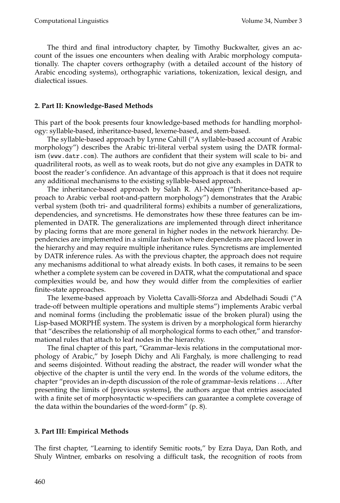The third and final introductory chapter, by Timothy Buckwalter, gives an account of the issues one encounters when dealing with Arabic morphology computationally. The chapter covers orthography (with a detailed account of the history of Arabic encoding systems), orthographic variations, tokenization, lexical design, and dialectical issues.

### **2. Part II: Knowledge-Based Methods**

This part of the book presents four knowledge-based methods for handling morphology: syllable-based, inheritance-based, lexeme-based, and stem-based.

The syllable-based approach by Lynne Cahill ("A syllable-based account of Arabic morphology") describes the Arabic tri-literal verbal system using the DATR formalism(www.datr.com). The authors are confident that their systemwill scale to bi- and quadriliteral roots, as well as to weak roots, but do not give any examples in DATR to boost the reader's confidence. An advantage of this approach is that it does not require any additional mechanisms to the existing syllable-based approach.

The inheritance-based approach by Salah R. Al-Najem("Inheritance-based approach to Arabic verbal root-and-pattern morphology") demonstrates that the Arabic verbal system (both tri- and quadriliteral forms) exhibits a number of generalizations, dependencies, and syncretisms. He demonstrates how these three features can be implemented in DATR. The generalizations are implemented through direct inheritance by placing forms that are more general in higher nodes in the network hierarchy. Dependencies are implemented in a similar fashion where dependents are placed lower in the hierarchy and may require multiple inheritance rules. Syncretisms are implemented by DATR inference rules. As with the previous chapter, the approach does not require any mechanisms additional to what already exists. In both cases, it remains to be seen whether a complete system can be covered in DATR, what the computational and space complexities would be, and how they would differ from the complexities of earlier finite-state approaches.

The lexeme-based approach by Violetta Cavalli-Sforza and Abdelhadi Soudi ("A trade-off between multiple operations and multiple stems") implements Arabic verbal and nominal forms (including the problematic issue of the broken plural) using the Lisp-based MORPHE system. The system is driven by a morphological form hierarchy that "describes the relationship of all morphological forms to each other," and transformational rules that attach to leaf nodes in the hierarchy.

The final chapter of this part, "Grammar–lexis relations in the computational morphology of Arabic," by Joseph Dichy and Ali Farghaly, is more challenging to read and seems disjointed. Without reading the abstract, the reader will wonder what the objective of the chapter is until the very end. In the words of the volume editors, the chapter "provides an in-depth discussion of the role of grammar-lexis relations . . . After presenting the limits of [previous systems], the authors argue that entries associated with a finite set of morphosyntactic w-specifiers can guarantee a complete coverage of the data within the boundaries of the word-form" (p. 8).

# **3. Part III: Empirical Methods**

The first chapter, "Learning to identify Semitic roots," by Ezra Daya, Dan Roth, and Shuly Wintner, embarks on resolving a difficult task, the recognition of roots from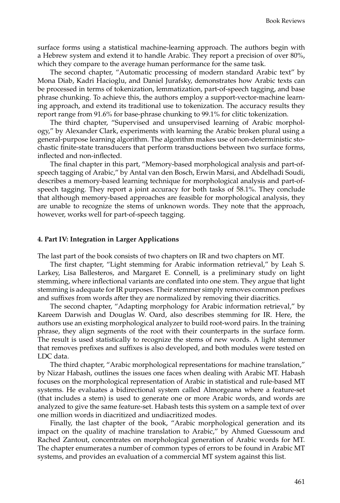surface forms using a statistical machine-learning approach. The authors begin with a Hebrew systemand extend it to handle Arabic. They report a precision of over 80%, which they compare to the average human performance for the same task.

The second chapter, "Automatic processing of modern standard Arabic text" by Mona Diab, Kadri Hacioglu, and Daniel Jurafsky, demonstrates how Arabic texts can be processed in terms of tokenization, lemmatization, part-of-speech tagging, and base phrase chunking. To achieve this, the authors employ a support-vector-machine learning approach, and extend its traditional use to tokenization. The accuracy results they report range from91.6% for base-phrase chunking to 99.1% for clitic tokenization.

The third chapter, "Supervised and unsupervised learning of Arabic morphology," by Alexander Clark, experiments with learning the Arabic broken plural using a general-purpose learning algorithm. The algorithm makes use of non-deterministic stochastic finite-state transducers that perform transductions between two surface forms, inflected and non-inflected.

The final chapter in this part, "Memory-based morphological analysis and part-ofspeech tagging of Arabic," by Antal van den Bosch, Erwin Marsi, and Abdelhadi Soudi, describes a memory-based learning technique for morphological analysis and part-ofspeech tagging. They report a joint accuracy for both tasks of 58.1%. They conclude that although memory-based approaches are feasible for morphological analysis, they are unable to recognize the stems of unknown words. They note that the approach, however, works well for part-of-speech tagging.

#### **4. Part IV: Integration in Larger Applications**

The last part of the book consists of two chapters on IR and two chapters on MT.

The first chapter, "Light stemming for Arabic information retrieval," by Leah S. Larkey, Lisa Ballesteros, and Margaret E. Connell, is a preliminary study on light stemming, where inflectional variants are conflated into one stem. They argue that light stemming is adequate for IR purposes. Their stemmer simply removes common prefixes and suffixes from words after they are normalized by removing their diacritics.

The second chapter, "Adapting morphology for Arabic information retrieval," by Kareem Darwish and Douglas W. Oard, also describes stemming for IR. Here, the authors use an existing morphological analyzer to build root-word pairs. In the training phrase, they align segments of the root with their counterparts in the surface form. The result is used statistically to recognize the stems of new words. A light stemmer that removes prefixes and suffixes is also developed, and both modules were tested on LDC data.

The third chapter, "Arabic morphological representations for machine translation," by Nizar Habash, outlines the issues one faces when dealing with Arabic MT. Habash focuses on the morphological representation of Arabic in statistical and rule-based MT systems. He evaluates a bidirectional system called Almorgeana where a feature-set (that includes a stem) is used to generate one or more Arabic words, and words are analyzed to give the same feature-set. Habash tests this system on a sample text of over one million words in diacritized and undiacritized modes.

Finally, the last chapter of the book, "Arabic morphological generation and its impact on the quality of machine translation to Arabic," by Ahmed Guessoum and Rached Zantout, concentrates on morphological generation of Arabic words for MT. The chapter enumerates a number of common types of errors to be found in Arabic MT systems, and provides an evaluation of a commercial MT system against this list.